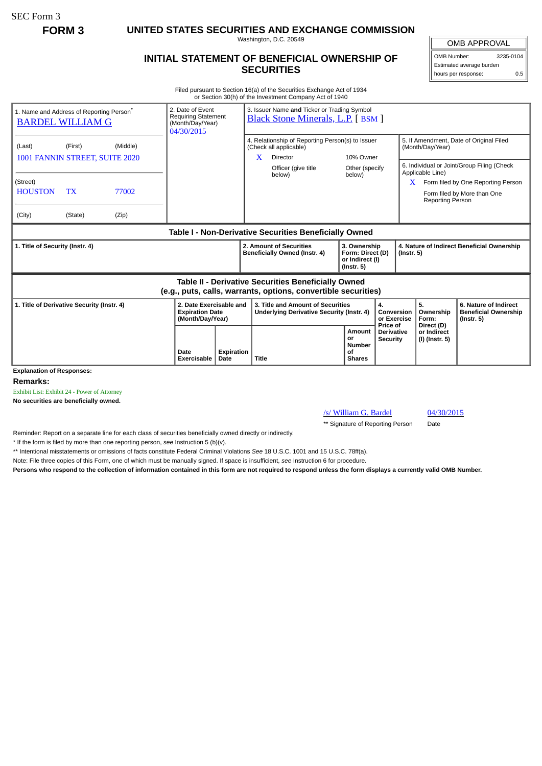SEC Form 3

**FORM 3 UNITED STATES SECURITIES AND EXCHANGE COMMISSION**

Washington, D.C. 20549

## **INITIAL STATEMENT OF BENEFICIAL OWNERSHIP OF SECURITIES**

OMB APPROVAL OMB Number: 3235-0104 Estimated average burden hours per response: 0.5

Filed pursuant to Section 16(a) of the Securities Exchange Act of 1934 or Section 30(h) of the Investment Company Act of 1940

| 1. Name and Address of Reporting Person <sup>®</sup><br><b>BARDEL WILLIAM G</b>                                              |           |          | 3. Issuer Name and Ticker or Trading Symbol<br>2. Date of Event<br><b>Requiring Statement</b><br><b>Black Stone Minerals, L.P.</b> [BSM ]<br>(Month/Day/Year)<br>04/30/2015 |                           |                                                                                             |                               |                                                                         |                                                  |                                                                |                                             |                                                                                                                 |
|------------------------------------------------------------------------------------------------------------------------------|-----------|----------|-----------------------------------------------------------------------------------------------------------------------------------------------------------------------------|---------------------------|---------------------------------------------------------------------------------------------|-------------------------------|-------------------------------------------------------------------------|--------------------------------------------------|----------------------------------------------------------------|---------------------------------------------|-----------------------------------------------------------------------------------------------------------------|
| (Last)<br>1001 FANNIN STREET, SUITE 2020                                                                                     | (First)   | (Middle) |                                                                                                                                                                             |                           | 4. Relationship of Reporting Person(s) to Issuer<br>(Check all applicable)<br>X<br>Director |                               | 10% Owner                                                               |                                                  | 5. If Amendment, Date of Original Filed<br>(Month/Day/Year)    |                                             |                                                                                                                 |
| (Street)<br><b>HOUSTON</b>                                                                                                   | <b>TX</b> | 77002    |                                                                                                                                                                             |                           |                                                                                             | Officer (give title<br>below) | Other (specify<br>below)                                                |                                                  | X                                                              | Applicable Line)                            | 6. Individual or Joint/Group Filing (Check<br>Form filed by One Reporting Person<br>Form filed by More than One |
| (City)                                                                                                                       | (State)   | (Zip)    |                                                                                                                                                                             |                           |                                                                                             |                               |                                                                         |                                                  |                                                                | Reporting Person                            |                                                                                                                 |
| Table I - Non-Derivative Securities Beneficially Owned                                                                       |           |          |                                                                                                                                                                             |                           |                                                                                             |                               |                                                                         |                                                  |                                                                |                                             |                                                                                                                 |
| 1. Title of Security (Instr. 4)                                                                                              |           |          |                                                                                                                                                                             |                           | 2. Amount of Securities<br>Beneficially Owned (Instr. 4)                                    |                               | 3. Ownership<br>Form: Direct (D)<br>or Indirect (I)<br>$($ lnstr. 5 $)$ |                                                  | 4. Nature of Indirect Beneficial Ownership<br>$($ lnstr. 5 $)$ |                                             |                                                                                                                 |
| <b>Table II - Derivative Securities Beneficially Owned</b><br>(e.g., puts, calls, warrants, options, convertible securities) |           |          |                                                                                                                                                                             |                           |                                                                                             |                               |                                                                         |                                                  |                                                                |                                             |                                                                                                                 |
| 1. Title of Derivative Security (Instr. 4)                                                                                   |           |          | 2. Date Exercisable and<br><b>Expiration Date</b><br>(Month/Day/Year)                                                                                                       |                           | 3. Title and Amount of Securities<br>Underlying Derivative Security (Instr. 4)              |                               | 4.                                                                      |                                                  | Conversion<br>or Exercise                                      | 5.<br>Ownership<br>Form:                    | 6. Nature of Indirect<br><b>Beneficial Ownership</b><br>$($ lnstr. 5 $)$                                        |
|                                                                                                                              |           |          | Date<br>Exercisable                                                                                                                                                         | <b>Expiration</b><br>Date | <b>Title</b>                                                                                |                               | Amount<br>or<br><b>Number</b><br>Οf<br><b>Shares</b>                    | Price of<br><b>Derivative</b><br><b>Security</b> |                                                                | Direct (D)<br>or Indirect<br>(I) (Instr. 5) |                                                                                                                 |
| <b>Explanation of Responses:</b>                                                                                             |           |          |                                                                                                                                                                             |                           |                                                                                             |                               |                                                                         |                                                  |                                                                |                                             |                                                                                                                 |

**Remarks:**

Exhibit List: Exhibit 24 - Power of Attorney

**No securities are beneficially owned.**

**/s/ William G. Bardel 04/30/2015** 

\*\* Signature of Reporting Person Date

Reminder: Report on a separate line for each class of securities beneficially owned directly or indirectly.

\* If the form is filed by more than one reporting person, *see* Instruction 5 (b)(v).

\*\* Intentional misstatements or omissions of facts constitute Federal Criminal Violations *See* 18 U.S.C. 1001 and 15 U.S.C. 78ff(a).

Note: File three copies of this Form, one of which must be manually signed. If space is insufficient, *see* Instruction 6 for procedure.

**Persons who respond to the collection of information contained in this form are not required to respond unless the form displays a currently valid OMB Number.**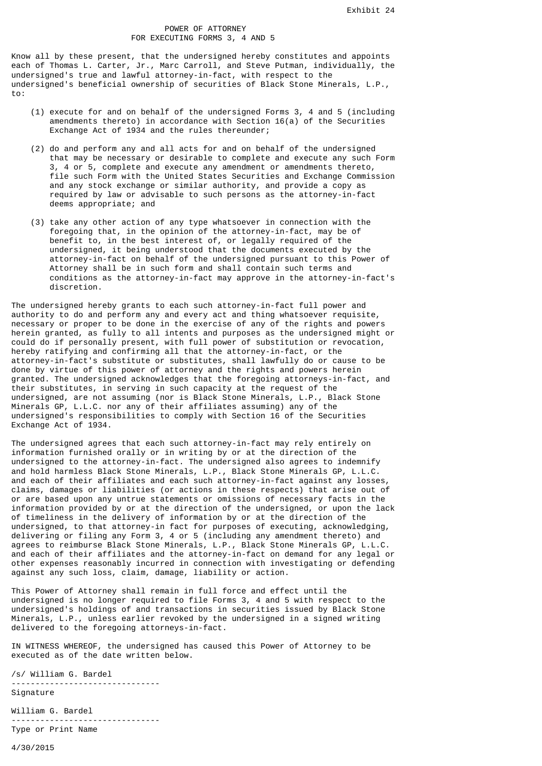## POWER OF ATTORNEY FOR EXECUTING FORMS 3, 4 AND 5

Know all by these present, that the undersigned hereby constitutes and appoints each of Thomas L. Carter, Jr., Marc Carroll, and Steve Putman, individually, the undersigned's true and lawful attorney-in-fact, with respect to the undersigned's beneficial ownership of securities of Black Stone Minerals, L.P., to:

- (1) execute for and on behalf of the undersigned Forms 3, 4 and 5 (including amendments thereto) in accordance with Section  $16(a)$  of the Securities Exchange Act of 1934 and the rules thereunder;
- (2) do and perform any and all acts for and on behalf of the undersigned that may be necessary or desirable to complete and execute any such Form 3, 4 or 5, complete and execute any amendment or amendments thereto, file such Form with the United States Securities and Exchange Commission and any stock exchange or similar authority, and provide a copy as required by law or advisable to such persons as the attorney-in-fact deems appropriate; and
- (3) take any other action of any type whatsoever in connection with the foregoing that, in the opinion of the attorney-in-fact, may be of benefit to, in the best interest of, or legally required of the undersigned, it being understood that the documents executed by the attorney-in-fact on behalf of the undersigned pursuant to this Power of Attorney shall be in such form and shall contain such terms and conditions as the attorney-in-fact may approve in the attorney-in-fact's discretion.

The undersigned hereby grants to each such attorney-in-fact full power and authority to do and perform any and every act and thing whatsoever requisite, necessary or proper to be done in the exercise of any of the rights and powers herein granted, as fully to all intents and purposes as the undersigned might or could do if personally present, with full power of substitution or revocation, hereby ratifying and confirming all that the attorney-in-fact, or the attorney-in-fact's substitute or substitutes, shall lawfully do or cause to be done by virtue of this power of attorney and the rights and powers herein granted. The undersigned acknowledges that the foregoing attorneys-in-fact, and their substitutes, in serving in such capacity at the request of the undersigned, are not assuming (nor is Black Stone Minerals, L.P., Black Stone Minerals GP, L.L.C. nor any of their affiliates assuming) any of the undersigned's responsibilities to comply with Section 16 of the Securities Exchange Act of 1934.

The undersigned agrees that each such attorney-in-fact may rely entirely on information furnished orally or in writing by or at the direction of the undersigned to the attorney-in-fact. The undersigned also agrees to indemnify and hold harmless Black Stone Minerals, L.P., Black Stone Minerals GP, L.L.C. and each of their affiliates and each such attorney-in-fact against any losses, claims, damages or liabilities (or actions in these respects) that arise out of or are based upon any untrue statements or omissions of necessary facts in the information provided by or at the direction of the undersigned, or upon the lack of timeliness in the delivery of information by or at the direction of the undersigned, to that attorney-in fact for purposes of executing, acknowledging, delivering or filing any Form 3, 4 or 5 (including any amendment thereto) and agrees to reimburse Black Stone Minerals, L.P., Black Stone Minerals GP, L.L.C. and each of their affiliates and the attorney-in-fact on demand for any legal or other expenses reasonably incurred in connection with investigating or defending against any such loss, claim, damage, liability or action.

This Power of Attorney shall remain in full force and effect until the undersigned is no longer required to file Forms 3, 4 and 5 with respect to the undersigned's holdings of and transactions in securities issued by Black Stone Minerals, L.P., unless earlier revoked by the undersigned in a signed writing delivered to the foregoing attorneys-in-fact.

IN WITNESS WHEREOF, the undersigned has caused this Power of Attorney to be executed as of the date written below.

/s/ William G. Bardel ------------------------------- Signature William G. Bardel

------------------------------- Type or Print Name

4/30/2015